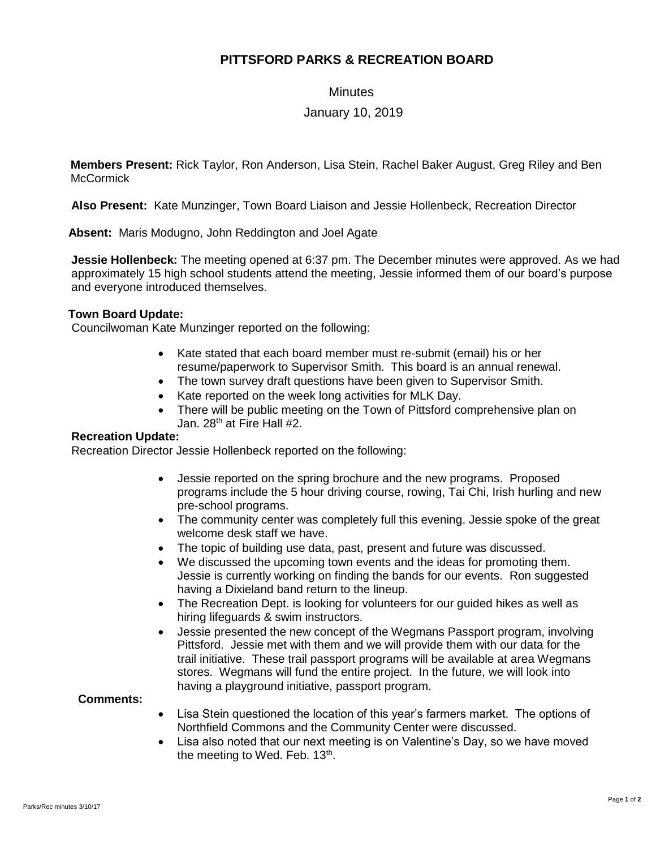# **PITTSFORD PARKS & RECREATION BOARD**

**Minutes** 

## January 10, 2019

**Members Present:** Rick Taylor, Ron Anderson, Lisa Stein, Rachel Baker August, Greg Riley and Ben **McCormick** 

**Also Present:** Kate Munzinger, Town Board Liaison and Jessie Hollenbeck, Recreation Director

 **Absent:** Maris Modugno, John Reddington and Joel Agate

**Jessie Hollenbeck:** The meeting opened at 6:37 pm. The December minutes were approved. As we had approximately 15 high school students attend the meeting, Jessie informed them of our board's purpose and everyone introduced themselves.

## **Town Board Update:**

Councilwoman Kate Munzinger reported on the following:

- Kate stated that each board member must re-submit (email) his or her resume/paperwork to Supervisor Smith. This board is an annual renewal.
- The town survey draft questions have been given to Supervisor Smith.
- Kate reported on the week long activities for MLK Day.
- There will be public meeting on the Town of Pittsford comprehensive plan on Jan. 28<sup>th</sup> at Fire Hall #2.

### **Recreation Update:**

Recreation Director Jessie Hollenbeck reported on the following:

- Jessie reported on the spring brochure and the new programs. Proposed programs include the 5 hour driving course, rowing, Tai Chi, Irish hurling and new pre-school programs.
- The community center was completely full this evening. Jessie spoke of the great welcome desk staff we have.
- The topic of building use data, past, present and future was discussed.
- We discussed the upcoming town events and the ideas for promoting them. Jessie is currently working on finding the bands for our events. Ron suggested having a Dixieland band return to the lineup.
- The Recreation Dept. is looking for volunteers for our guided hikes as well as hiring lifeguards & swim instructors.
- Jessie presented the new concept of the Wegmans Passport program, involving Pittsford. Jessie met with them and we will provide them with our data for the trail initiative. These trail passport programs will be available at area Wegmans stores. Wegmans will fund the entire project. In the future, we will look into having a playground initiative, passport program.

### **Comments:**

- Lisa Stein questioned the location of this year's farmers market. The options of Northfield Commons and the Community Center were discussed.
- Lisa also noted that our next meeting is on Valentine's Day, so we have moved the meeting to Wed. Feb. 13<sup>th</sup>.